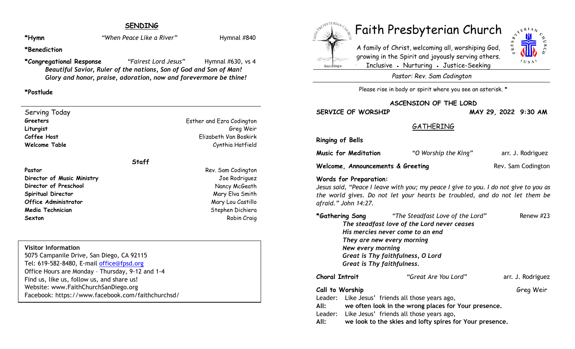# **SENDING**

\*Hymn *When Peace Like a River Hymnal #840* 

**\*Benediction**

**\*Congregational Response** *"Fairest Lord Jesus"* Hymnal #630, vs 4 *Beautiful Savior, Ruler of the nations, Son of God and Son of Man! Glory and honor, praise, adoration, now and forevermore be thine!*

### **\*Postlude**

Serving Today **Greeters** Esther and Ezra Codington **Liturgist** Greg Weir **Coffee Host** Elizabeth Van Boskirk **Welcome Table Cynthia Hatfield** 

# **Staff**

**Pastor** Rev. Sam Codington **Director of Music Ministry Contract Contract Contract Contract Contract Contract Contract Contract Contract Contract Contract Contract Contract Contract Contract Contract Contract Contract Contract Contract Contract Con Director of Preschool Nancy McGeath Spiritual Director** Mary Elva Smith **Office Administrator** Mary Lou Castillo **Media Technician** Stephen Dichiera (Stephen Dichiera Stephen Dichiera ) **Sexton** Robin Craig

#### **Visitor Information**

5075 Campanile Drive, San Diego, CA 92115 Tel: 619-582-8480, E-mail office@fpsd.org Office Hours are Monday – Thursday, 9-12 and 1-4 Find us, like us, follow us, and share us! Website: www.FaithChurchSanDiego.org Facebook: https://www.facebook.com/faithchurchsd/

# San Diego



A family of Christ, welcoming all, worshiping God, growing in the Spirit and joyously serving others. Inclusive • Nurturing • Justice-Seeking



*Pastor: Rev. Sam Codington*

Please rise in body or spirit where you see an asterisk. \*

**ASCENSION OF THE LORD**

**SERVICE OF WORSHIP MAY 29, 2022 9:30 AM**

# **GATHERING**

**Ringing of Bells**

**Music for Meditation** *"O Worship the King"* arr. J. Rodriguez

**Welcome, Announcements & Greeting Rev. Sam Codington** 

#### **Words for Preparation:**

*Jesus said, "Peace I leave with you; my peace I give to you. I do not give to you as the world gives. Do not let your hearts be troubled, and do not let them be afraid." John 14:27.*

|                                             |                   | *Gathering Song "The Steadfast Love of the Lord"     | Renew $#23$       |
|---------------------------------------------|-------------------|------------------------------------------------------|-------------------|
| The steadfast love of the Lord never ceases |                   |                                                      |                   |
|                                             |                   | His mercies never come to an end                     |                   |
|                                             |                   | They are new every morning                           |                   |
|                                             | New every morning |                                                      |                   |
|                                             |                   | Great is Thy faithfulness, O Lord                    |                   |
|                                             |                   | Great is Thy faithfulness.                           |                   |
| <b>Choral Introit</b>                       |                   | "Great Are You Lord"                                 | arr. J. Rodriguez |
| Call to Worship                             |                   |                                                      | Greg Weir         |
|                                             |                   | Leader: Like Jesus' friends all those years ago,     |                   |
| All:                                        |                   | we often look in the wrong places for Your presence. |                   |
|                                             |                   | Leader: Like Jesus' friends all those years ago,     |                   |

**All: we look to the skies and lofty spires for Your presence.**